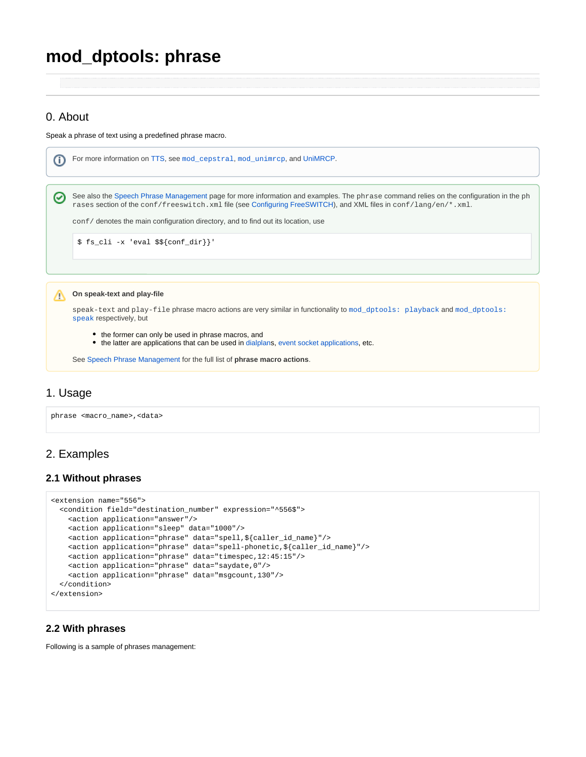# **mod\_dptools: phrase**

## 0. About

Speak a phrase of text using a predefined phrase macro.



## 1. Usage

phrase <macro\_name>,<data>

## 2. Examples

#### **2.1 Without phrases**

```
<extension name="556"> 
   <condition field="destination_number" expression="^556$">
    <action application="answer"/>
    <action application="sleep" data="1000"/>
    <action application="phrase" data="spell,${caller_id_name}"/>
    <action application="phrase" data="spell-phonetic,${caller_id_name}"/>
    <action application="phrase" data="timespec,12:45:15"/>
    <action application="phrase" data="saydate,0"/>
    <action application="phrase" data="msgcount,130"/>
   </condition>
</extension>
```
#### **2.2 With phrases**

Following is a sample of phrases management: